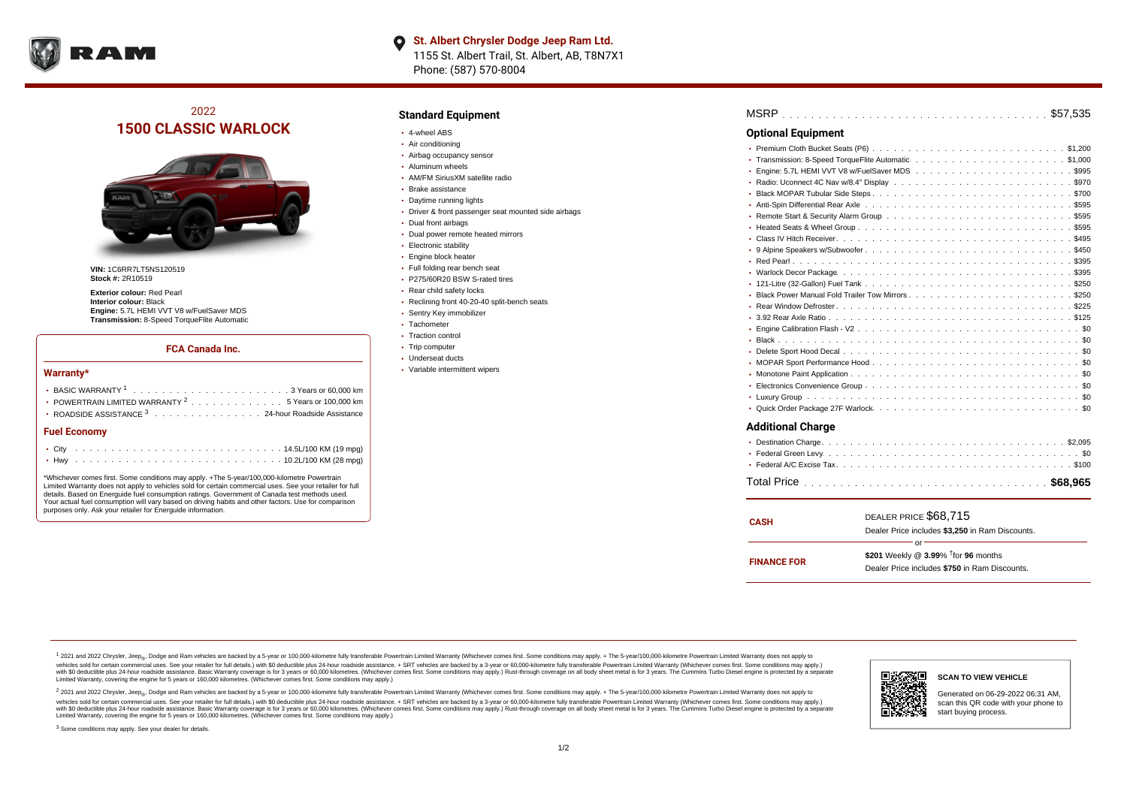

# 2022 **1500 CLASSIC WARLOCK**



**VIN:** 1C6RR7LT5NS120519 **Stock #:** 2R10519

**Exterior colour:** Red Pearl **Interior colour:** Black **Engine:** 5.7L HEMI VVT V8 w/FuelSaver MDS **Transmission:** 8-Speed TorqueFlite Automatic

#### **FCA Canada Inc.**

#### **Warranty\***

| • POWERTRAIN LIMITED WARRANTY <sup>2</sup> 5 Years or 100,000 km |
|------------------------------------------------------------------|
| • ROADSIDE ASSISTANCE 3 24-hour Roadside Assistance              |
| <b>Fuel Economy</b>                                              |
|                                                                  |

\*Whichever comes first. Some conditions may apply. +The 5-year/100,000-kilometre Powertrain Limited Warranty does not apply to vehicles sold for certain commercial uses. See your retailer for full details. Based on Energuide fuel consumption ratings. Government of Canada test methods used. Your actual fuel consumption will vary based on driving habits and other factors. Use for comparison purposes only. Ask your retailer for Energuide information.

. . . . . . . . . . . . . . . . . . . . . . . . . . . . . . . . . . . . . . . . . . . Hwy 10.2L/100 KM (28 mpg)

### **Standard Equipment**

- 4-wheel ABS
- Air conditioning
- Airbag occupancy sensor
- Aluminum wheels
- AM/FM SiriusXM satellite radio
- Brake assistance
- Daytime running lights
- Driver & front passenger seat mounted side airbags
- Dual front airbags
- Dual power remote heated mirrors
- **Electronic stability**
- Engine block heater
- Full folding rear bench seat
- P275/60R20 BSW S-rated tires
- Rear child safety locks
- Reclining front 40-20-40 split-bench seats
- Sentry Key immobilizer
- Tachometer
- Traction control • Trip computer
- Underseat ducts
- Variable intermittent wipers

| <b>Optional Equipment</b> |  |
|---------------------------|--|
|                           |  |
|                           |  |
|                           |  |
|                           |  |
|                           |  |
|                           |  |
|                           |  |
|                           |  |
|                           |  |
|                           |  |
|                           |  |
|                           |  |
|                           |  |
|                           |  |
|                           |  |
|                           |  |
|                           |  |
|                           |  |
|                           |  |
|                           |  |
|                           |  |
|                           |  |
|                           |  |
|                           |  |
| <b>Additional Charge</b>  |  |
|                           |  |
|                           |  |
|                           |  |

. . . . . . . . . . . . . . . . . . . . . . . . . . . . . . . . . . . . . . . . . . . . . . Total Price **\$68,965**

| <b>CASH</b>        | DEALER PRICE \$68.715                              |  |  |
|--------------------|----------------------------------------------------|--|--|
|                    | Dealer Price includes \$3,250 in Ram Discounts.    |  |  |
| ΩF                 |                                                    |  |  |
| <b>FINANCE FOR</b> | \$201 Weekly @ $3.99\%$ <sup>†</sup> for 96 months |  |  |
|                    | Dealer Price includes \$750 in Ram Discounts.      |  |  |

<sup>1</sup> 2021 and 2022 Chrysler, Jeep<sub>®</sub>, Dodge and Ram vehicles are backed by a 5-year or 100,000-kilometre fully transferable Powertrain Limited Warranty (Whichever comes first. Some conditions may apply. + The 5-year/100,000 vehicles sold for certain commercial uses. See your retailer for full details.) with \$0 deductible plus 24 hour roadside assistance. + SRT vehicles are backed by a 3-year or 60,000-kilometre fully transferable Powertrain L versus and contract the mean of the contract of the contract with a contract with a contract the contract of the contract of the contract the contract of the contract of the contract of the contract of the contract of the Limited Warranty, covering the engine for 5 years or 160,000 kilometres. (Whichever comes first. Some conditions may apply.)

2 2021 and 2022 Chrysler, Jeep<sub>®</sub>, Dodge and Ram vehicles are backed by a 5-year or 100,000-kilometre fully transferable Powertrain Limited Warranty (Whichever comes first. Some conditions may apply. + The 5-year/100,000-k vehicles sold for certain commercial uses. See your retailer for full details.) with SO deductible plus 24-hour roadside assistance. + SRT vehicles are backed by a 3-year or 60.000-kilometre fully transferable Powertrain L with S0 deductible plus 24-hour roadside assistance. Basic Warranty coverage is for 3 years or 60,000 kilometres. (Whichever comes first. Some conditions may apply.) Rust-through coverage on all body sheet metal is for 3 y

<sup>3</sup> Some conditions may apply. See your dealer for details.